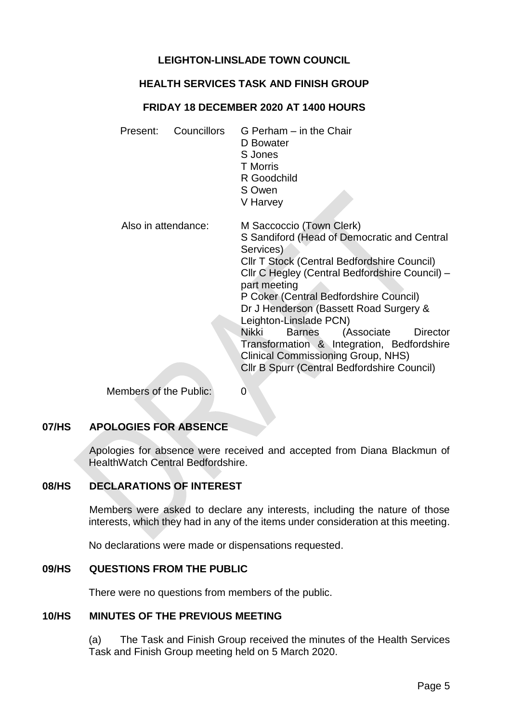# **LEIGHTON-LINSLADE TOWN COUNCIL**

## **HEALTH SERVICES TASK AND FINISH GROUP**

### **FRIDAY 18 DECEMBER 2020 AT 1400 HOURS**

Present: Councillors G Perham – in the Chair D Bowater S Jones T Morris R Goodchild S Owen V Harvey Also in attendance: M Saccoccio (Town Clerk) S Sandiford (Head of Democratic and Central Services) Cllr T Stock (Central Bedfordshire Council) Cllr C Hegley (Central Bedfordshire Council) – part meeting P Coker (Central Bedfordshire Council) Dr J Henderson (Bassett Road Surgery & Leighton-Linslade PCN) Nikki Barnes (Associate Director Transformation & Integration, Bedfordshire Clinical Commissioning Group, NHS) Cllr B Spurr (Central Bedfordshire Council)

Members of the Public: 0

# **07/HS APOLOGIES FOR ABSENCE**

Apologies for absence were received and accepted from Diana Blackmun of HealthWatch Central Bedfordshire.

## **08/HS DECLARATIONS OF INTEREST**

Members were asked to declare any interests, including the nature of those interests, which they had in any of the items under consideration at this meeting.

No declarations were made or dispensations requested.

### **09/HS QUESTIONS FROM THE PUBLIC**

There were no questions from members of the public.

#### **10/HS MINUTES OF THE PREVIOUS MEETING**

(a) The Task and Finish Group received the minutes of the Health Services Task and Finish Group meeting held on 5 March 2020.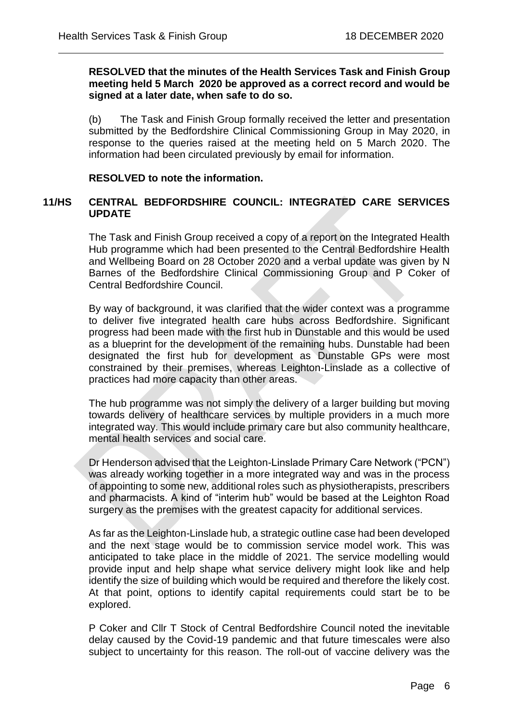### **RESOLVED that the minutes of the Health Services Task and Finish Group meeting held 5 March 2020 be approved as a correct record and would be signed at a later date, when safe to do so.**

 $\overline{a}$ 

(b) The Task and Finish Group formally received the letter and presentation submitted by the Bedfordshire Clinical Commissioning Group in May 2020, in response to the queries raised at the meeting held on 5 March 2020. The information had been circulated previously by email for information.

# **RESOLVED to note the information.**

# **11/HS CENTRAL BEDFORDSHIRE COUNCIL: INTEGRATED CARE SERVICES UPDATE**

The Task and Finish Group received a copy of a report on the Integrated Health Hub programme which had been presented to the Central Bedfordshire Health and Wellbeing Board on 28 October 2020 and a verbal update was given by N Barnes of the Bedfordshire Clinical Commissioning Group and P Coker of Central Bedfordshire Council.

By way of background, it was clarified that the wider context was a programme to deliver five integrated health care hubs across Bedfordshire. Significant progress had been made with the first hub in Dunstable and this would be used as a blueprint for the development of the remaining hubs. Dunstable had been designated the first hub for development as Dunstable GPs were most constrained by their premises, whereas Leighton-Linslade as a collective of practices had more capacity than other areas.

The hub programme was not simply the delivery of a larger building but moving towards delivery of healthcare services by multiple providers in a much more integrated way. This would include primary care but also community healthcare, mental health services and social care.

Dr Henderson advised that the Leighton-Linslade Primary Care Network ("PCN") was already working together in a more integrated way and was in the process of appointing to some new, additional roles such as physiotherapists, prescribers and pharmacists. A kind of "interim hub" would be based at the Leighton Road surgery as the premises with the greatest capacity for additional services.

As far as the Leighton-Linslade hub, a strategic outline case had been developed and the next stage would be to commission service model work. This was anticipated to take place in the middle of 2021. The service modelling would provide input and help shape what service delivery might look like and help identify the size of building which would be required and therefore the likely cost. At that point, options to identify capital requirements could start be to be explored.

P Coker and Cllr T Stock of Central Bedfordshire Council noted the inevitable delay caused by the Covid-19 pandemic and that future timescales were also subject to uncertainty for this reason. The roll-out of vaccine delivery was the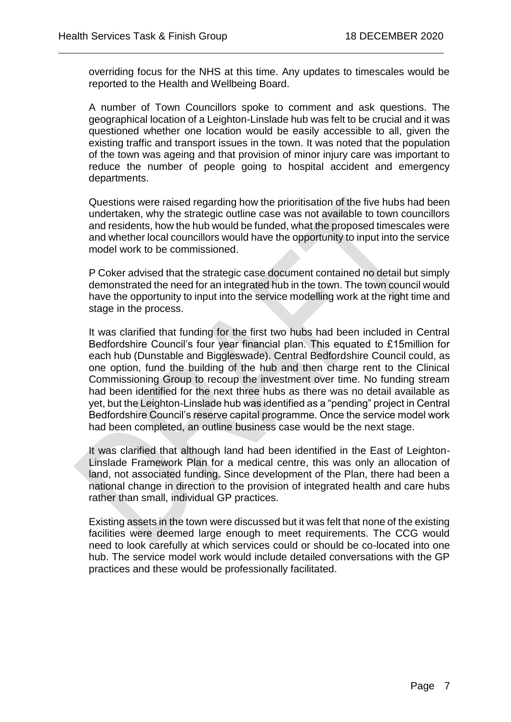overriding focus for the NHS at this time. Any updates to timescales would be reported to the Health and Wellbeing Board.

 $\overline{a}$ 

A number of Town Councillors spoke to comment and ask questions. The geographical location of a Leighton-Linslade hub was felt to be crucial and it was questioned whether one location would be easily accessible to all, given the existing traffic and transport issues in the town. It was noted that the population of the town was ageing and that provision of minor injury care was important to reduce the number of people going to hospital accident and emergency departments.

Questions were raised regarding how the prioritisation of the five hubs had been undertaken, why the strategic outline case was not available to town councillors and residents, how the hub would be funded, what the proposed timescales were and whether local councillors would have the opportunity to input into the service model work to be commissioned.

P Coker advised that the strategic case document contained no detail but simply demonstrated the need for an integrated hub in the town. The town council would have the opportunity to input into the service modelling work at the right time and stage in the process.

It was clarified that funding for the first two hubs had been included in Central Bedfordshire Council's four year financial plan. This equated to £15million for each hub (Dunstable and Biggleswade). Central Bedfordshire Council could, as one option, fund the building of the hub and then charge rent to the Clinical Commissioning Group to recoup the investment over time. No funding stream had been identified for the next three hubs as there was no detail available as yet, but the Leighton-Linslade hub was identified as a "pending" project in Central Bedfordshire Council's reserve capital programme. Once the service model work had been completed, an outline business case would be the next stage.

It was clarified that although land had been identified in the East of Leighton-Linslade Framework Plan for a medical centre, this was only an allocation of land, not associated funding. Since development of the Plan, there had been a national change in direction to the provision of integrated health and care hubs rather than small, individual GP practices.

Existing assets in the town were discussed but it was felt that none of the existing facilities were deemed large enough to meet requirements. The CCG would need to look carefully at which services could or should be co-located into one hub. The service model work would include detailed conversations with the GP practices and these would be professionally facilitated.